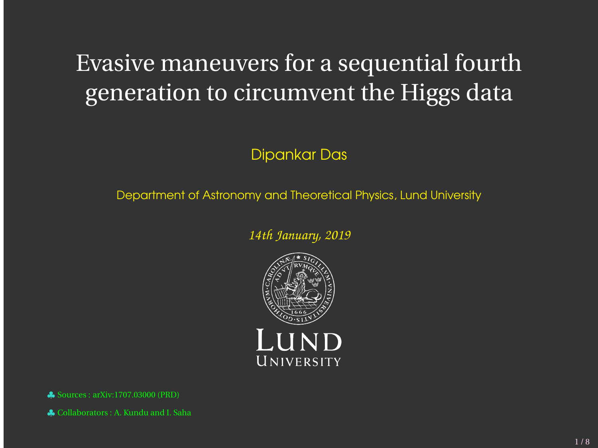# Evasive maneuvers for a sequential fourth generation to circumvent the Higgs data

#### Dipankar Das

Department of Astronomy and Theoretical Physics, Lund University

*14th January, 2019*



♣ Sources : arXiv:1707.03000 (PRD)

♣ Collaborators : A. Kundu and I. Saha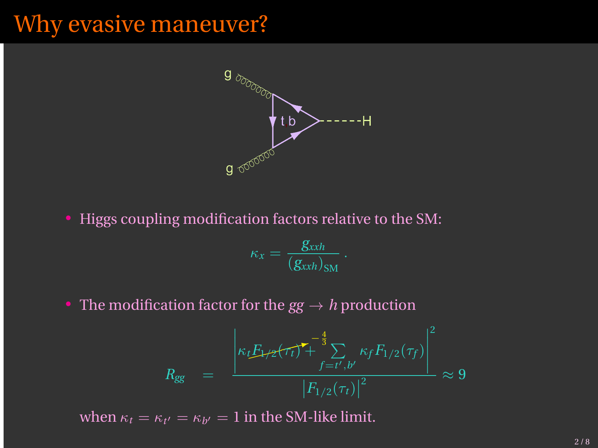## Why evasive maneuver?



• Higgs coupling modification factors relative to the SM:

$$
\kappa_x = \frac{g_{xxh}}{(g_{xxh})_{\text{SM}}}.
$$

• The modification factor for the  $gg \to h$  production

$$
R_{gg} = \frac{\left| \kappa_t E_{1/2}(\tau_t)^{\intercal} + \sum_{f=t',b'}^{\infty} \kappa_f F_{1/2}(\tau_f) \right|^2}{\left| F_{1/2}(\tau_t) \right|^2} \approx 9
$$

when  $\kappa_t = \kappa_{t'} = \kappa_{b'} = 1$  in the SM-like limit.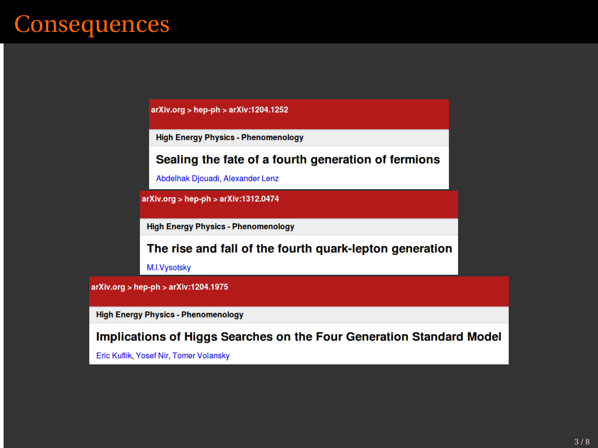## **Consequences**

 $arXiv.org > hep-ph > arXiv:1204.1252$ 

**High Energy Physics - Phenomenology** 

#### Sealing the fate of a fourth generation of fermions

Abdelhak Djouadi, Alexander Lenz

arXiv.org > hep-ph > arXiv:1312.0474

**High Energy Physics - Phenomenology** 

The rise and fall of the fourth quark-lepton generation

M.I.Vysotsky

 $arXiv.org > hep-ph > arXiv:1204.1975$ 

**High Energy Physics - Phenomenology** 

Implications of Higgs Searches on the Four Generation Standard Model

Eric Kuflik, Yosef Nir, Tomer Volansky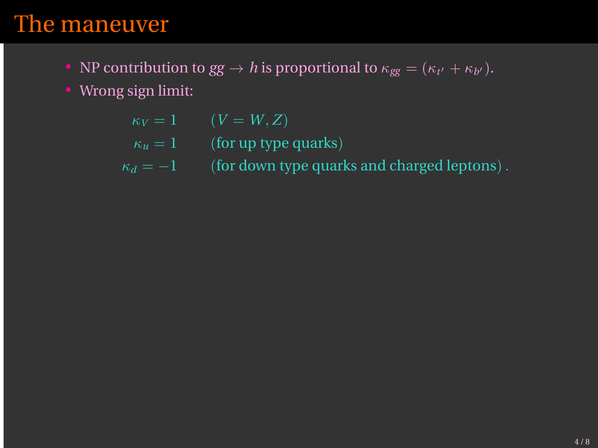#### The maneuver

- NP contribution to  $gg \to h$  is proportional to  $\kappa_{gg} = (\kappa_{t'} + \kappa_{b'})$ .
- Wrong sign limit:

 $\kappa_V = 1$   $(V = W, Z)$ 

- $\kappa_u = 1$  (for up type quarks)
- $\kappa_d = -1$  (for down type quarks and charged leptons).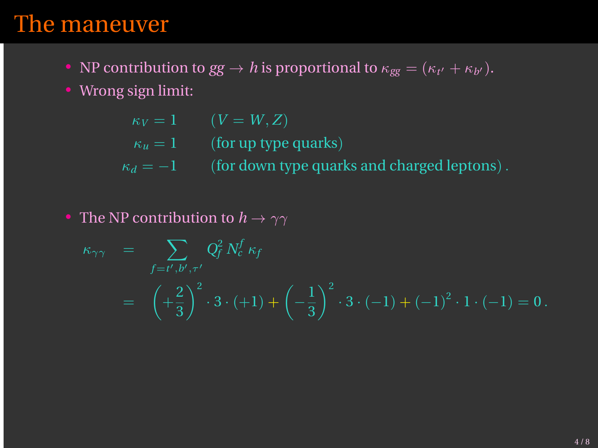#### The maneuver

- NP contribution to  $gg \to h$  is proportional to  $\kappa_{gg} = (\kappa_{t'} + \kappa_{b'})$ .
- Wrong sign limit:

 $\kappa_V = 1$   $(V = W, Z)$ 

- $\kappa_u = 1$  (for up type quarks)
- $\kappa_d = -1$  (for down type quarks and charged leptons).
- The NP contribution to  $h \to \gamma\gamma$

$$
\kappa_{\gamma\gamma} = \sum_{f=t',b',\tau'} Q_f^2 N_c^f \kappa_f
$$
  
=  $\left(+\frac{2}{3}\right)^2 \cdot 3 \cdot (+1) + \left(-\frac{1}{3}\right)^2 \cdot 3 \cdot (-1) + (-1)^2 \cdot 1 \cdot (-1) = 0.$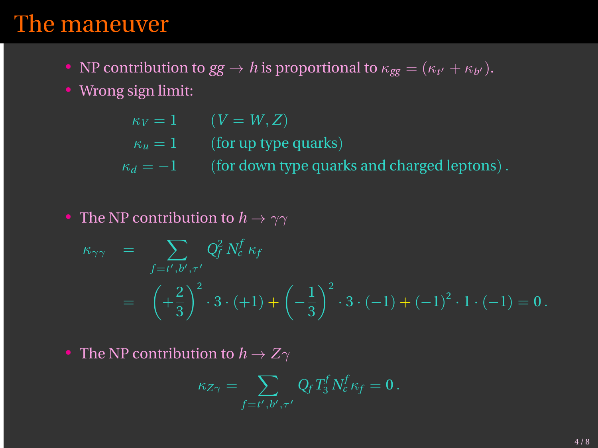#### The maneuver

- NP contribution to  $gg \to h$  is proportional to  $\kappa_{gg} = (\kappa_{t'} + \kappa_{b'})$ .
- Wrong sign limit:

 $\kappa_V = 1$   $(V = W, Z)$ 

- $\kappa_u = 1$  (for up type quarks)
- $\kappa_d = -1$  (for down type quarks and charged leptons).
- The NP contribution to  $h \to \gamma\gamma$

$$
\kappa_{\gamma\gamma} = \sum_{f=t',b',\tau'} Q_f^2 N_c^f \kappa_f
$$
  
=  $\left(+\frac{2}{3}\right)^2 \cdot 3 \cdot (+1) + \left(-\frac{1}{3}\right)^2 \cdot 3 \cdot (-1) + (-1)^2 \cdot 1 \cdot (-1) = 0.$ 

• The NP contribution to  $h \to Z\gamma$ 

$$
\kappa_{Z\gamma} = \sum_{f=t',b',\tau'} Q_f T_3^f N_c^f \kappa_f = 0.
$$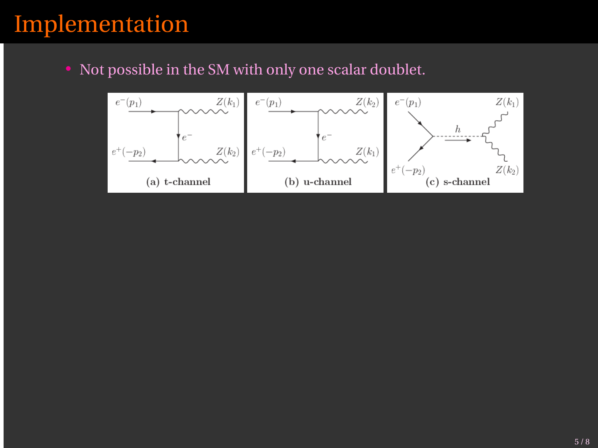## Implementation

• Not possible in the SM with only one scalar doublet.

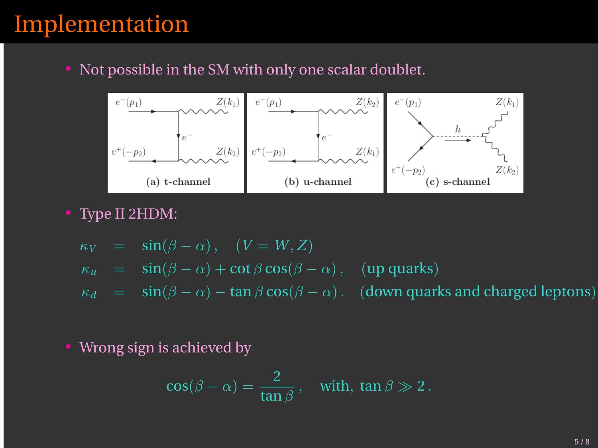## Implementation

• Not possible in the SM with only one scalar doublet.



• Type II 2HDM:

$$
\kappa_V = \sin(\beta - \alpha), \quad (V = W, Z)
$$
  
\n
$$
\kappa_u = \sin(\beta - \alpha) + \cot \beta \cos(\beta - \alpha), \quad (\text{up quarks})
$$
  
\n
$$
\kappa_d = \sin(\beta - \alpha) - \tan \beta \cos(\beta - \alpha). \quad (\text{down quarks and charged leptons})
$$

• Wrong sign is achieved by

$$
\cos(\beta - \alpha) = \frac{2}{\tan \beta}, \quad \text{with, } \tan \beta \gg 2.
$$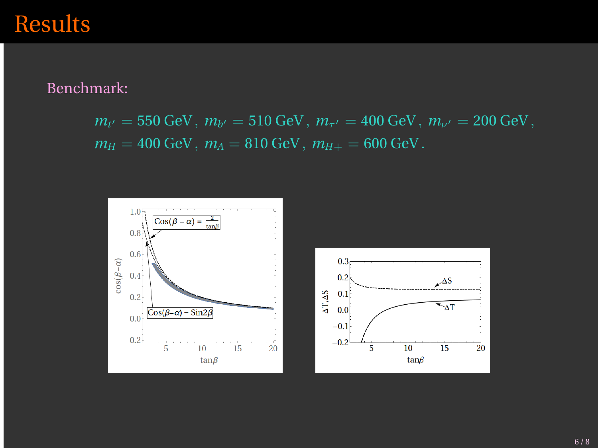#### Results

Benchmark:

 $m_{t'} = 550 \text{ GeV}$ ,  $m_{b'} = 510 \text{ GeV}$ ,  $m_{\tau'} = 400 \text{ GeV}$ ,  $m_{\nu'} = 200 \text{ GeV}$ ,  $m_H = 400 \text{ GeV}, m_A = 810 \text{ GeV}, m_{H+} = 600 \text{ GeV}.$ 

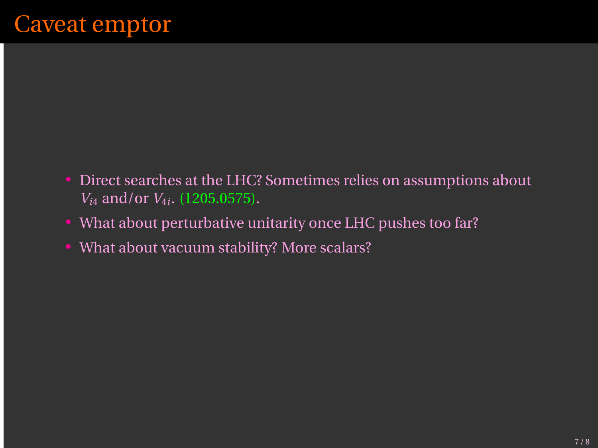## Caveat emptor

- Direct searches at the LHC? Sometimes relies on assumptions about  $V_{i4}$  and/or  $V_{4i}$ . (1205.0575).
- What about perturbative unitarity once LHC pushes too far?
- What about vacuum stability? More scalars?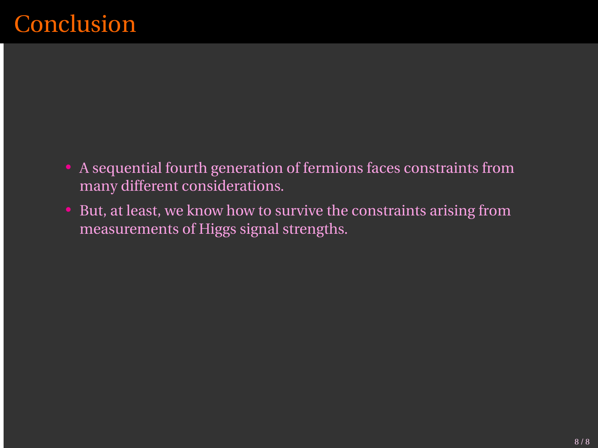## **Conclusion**

- A sequential fourth generation of fermions faces constraints from many different considerations.
- But, at least, we know how to survive the constraints arising from measurements of Higgs signal strengths.